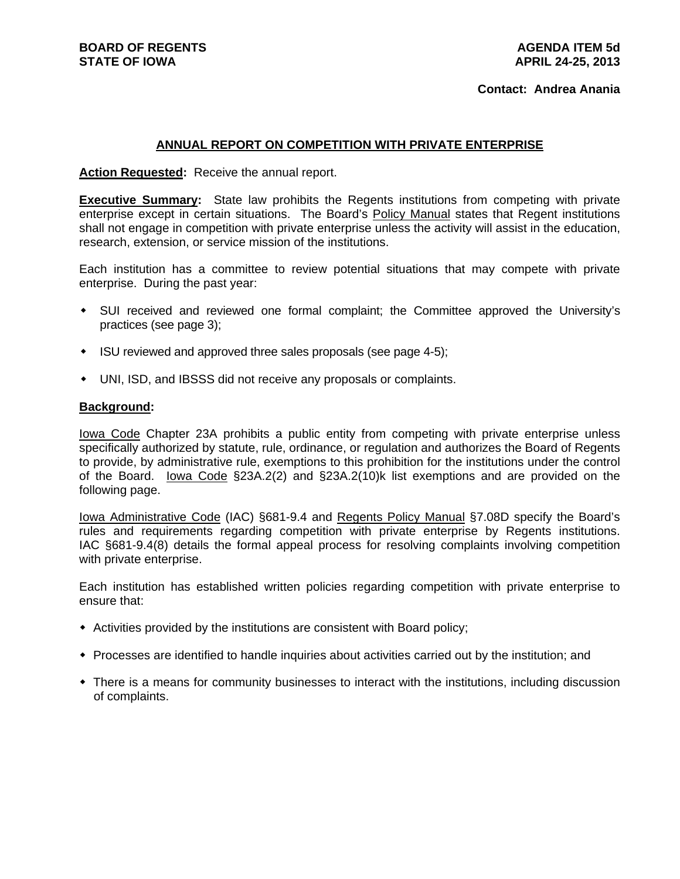## **ANNUAL REPORT ON COMPETITION WITH PRIVATE ENTERPRISE**

**Action Requested:** Receive the annual report.

**Executive Summary:** State law prohibits the Regents institutions from competing with private enterprise except in certain situations. The Board's Policy Manual states that Regent institutions shall not engage in competition with private enterprise unless the activity will assist in the education, research, extension, or service mission of the institutions.

Each institution has a committee to review potential situations that may compete with private enterprise. During the past year:

- SUI received and reviewed one formal complaint; the Committee approved the University's practices (see page 3);
- ISU reviewed and approved three sales proposals (see page 4-5);
- UNI, ISD, and IBSSS did not receive any proposals or complaints.

#### **Background:**

Iowa Code Chapter 23A prohibits a public entity from competing with private enterprise unless specifically authorized by statute, rule, ordinance, or regulation and authorizes the Board of Regents to provide, by administrative rule, exemptions to this prohibition for the institutions under the control of the Board. lowa Code §23A.2(2) and §23A.2(10)k list exemptions and are provided on the following page.

Iowa Administrative Code (IAC) §681-9.4 and Regents Policy Manual §7.08D specify the Board's rules and requirements regarding competition with private enterprise by Regents institutions. IAC §681-9.4(8) details the formal appeal process for resolving complaints involving competition with private enterprise.

Each institution has established written policies regarding competition with private enterprise to ensure that:

- Activities provided by the institutions are consistent with Board policy;
- Processes are identified to handle inquiries about activities carried out by the institution; and
- There is a means for community businesses to interact with the institutions, including discussion of complaints.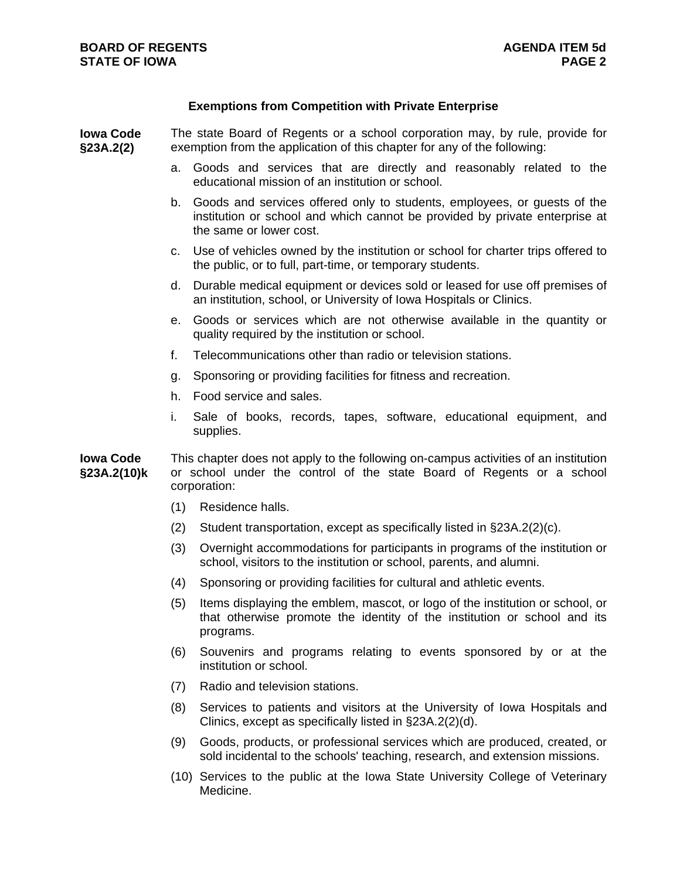# **Exemptions from Competition with Private Enterprise**

**Iowa Code §23A.2(2)** The state Board of Regents or a school corporation may, by rule, provide for exemption from the application of this chapter for any of the following:

- a. Goods and services that are directly and reasonably related to the educational mission of an institution or school.
- b. Goods and services offered only to students, employees, or guests of the institution or school and which cannot be provided by private enterprise at the same or lower cost.
- c. Use of vehicles owned by the institution or school for charter trips offered to the public, or to full, part-time, or temporary students.
- d. Durable medical equipment or devices sold or leased for use off premises of an institution, school, or University of Iowa Hospitals or Clinics.
- e. Goods or services which are not otherwise available in the quantity or quality required by the institution or school.
- f. Telecommunications other than radio or television stations.
- g. Sponsoring or providing facilities for fitness and recreation.
- h. Food service and sales.
- i. Sale of books, records, tapes, software, educational equipment, and supplies.

**Iowa Code §23A.2(10)k**  This chapter does not apply to the following on-campus activities of an institution or school under the control of the state Board of Regents or a school corporation:

- (1) Residence halls.
- (2) Student transportation, except as specifically listed in §23A.2(2)(c).
- (3) Overnight accommodations for participants in programs of the institution or school, visitors to the institution or school, parents, and alumni.
- (4) Sponsoring or providing facilities for cultural and athletic events.
- (5) Items displaying the emblem, mascot, or logo of the institution or school, or that otherwise promote the identity of the institution or school and its programs.
- (6) Souvenirs and programs relating to events sponsored by or at the institution or school.
- (7) Radio and television stations.
- (8) Services to patients and visitors at the University of Iowa Hospitals and Clinics, except as specifically listed in §23A.2(2)(d).
- (9) Goods, products, or professional services which are produced, created, or sold incidental to the schools' teaching, research, and extension missions.
- (10) Services to the public at the Iowa State University College of Veterinary Medicine.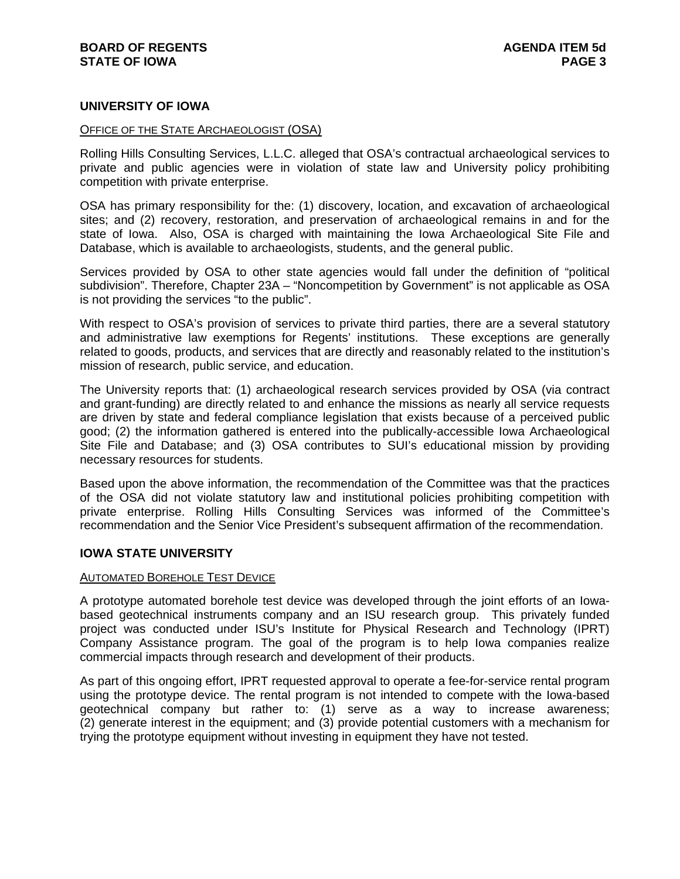# **UNIVERSITY OF IOWA**

# OFFICE OF THE STATE ARCHAEOLOGIST (OSA)

Rolling Hills Consulting Services, L.L.C. alleged that OSA's contractual archaeological services to private and public agencies were in violation of state law and University policy prohibiting competition with private enterprise.

OSA has primary responsibility for the: (1) discovery, location, and excavation of archaeological sites; and (2) recovery, restoration, and preservation of archaeological remains in and for the state of Iowa. Also, OSA is charged with maintaining the Iowa Archaeological Site File and Database, which is available to archaeologists, students, and the general public.

Services provided by OSA to other state agencies would fall under the definition of "political subdivision". Therefore, Chapter 23A – "Noncompetition by Government" is not applicable as OSA is not providing the services "to the public".

With respect to OSA's provision of services to private third parties, there are a several statutory and administrative law exemptions for Regents' institutions. These exceptions are generally related to goods, products, and services that are directly and reasonably related to the institution's mission of research, public service, and education.

The University reports that: (1) archaeological research services provided by OSA (via contract and grant-funding) are directly related to and enhance the missions as nearly all service requests are driven by state and federal compliance legislation that exists because of a perceived public good; (2) the information gathered is entered into the publically-accessible Iowa Archaeological Site File and Database; and (3) OSA contributes to SUI's educational mission by providing necessary resources for students.

Based upon the above information, the recommendation of the Committee was that the practices of the OSA did not violate statutory law and institutional policies prohibiting competition with private enterprise. Rolling Hills Consulting Services was informed of the Committee's recommendation and the Senior Vice President's subsequent affirmation of the recommendation.

# **IOWA STATE UNIVERSITY**

#### AUTOMATED BOREHOLE TEST DEVICE

A prototype automated borehole test device was developed through the joint efforts of an Iowabased geotechnical instruments company and an ISU research group. This privately funded project was conducted under ISU's Institute for Physical Research and Technology (IPRT) Company Assistance program. The goal of the program is to help Iowa companies realize commercial impacts through research and development of their products.

As part of this ongoing effort, IPRT requested approval to operate a fee-for-service rental program using the prototype device. The rental program is not intended to compete with the Iowa-based geotechnical company but rather to: (1) serve as a way to increase awareness; (2) generate interest in the equipment; and (3) provide potential customers with a mechanism for trying the prototype equipment without investing in equipment they have not tested.